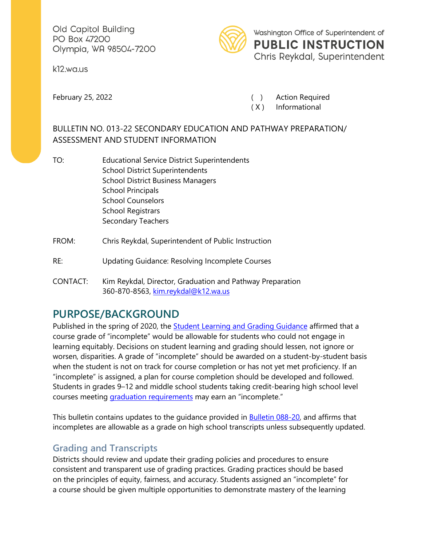Old Capitol Building PO Box 47200 Olympia, WA 98504-7200

k12.wa.us



Washington Office of Superintendent of **PUBLIC INSTRUCTION** Chris Reykdal, Superintendent

February 25, 2022 **(a)** Represent Action Required

( X ) Informational

#### BULLETIN NO. 013-22 SECONDARY EDUCATION AND PATHWAY PREPARATION/ ASSESSMENT AND STUDENT INFORMATION

- TO: Educational Service District Superintendents School District Superintendents School District Business Managers School Principals School Counselors School Registrars Secondary Teachers
- FROM: Chris Reykdal, Superintendent of Public Instruction
- RE: Updating Guidance: Resolving Incomplete Courses
- CONTACT: Kim Reykdal, Director, Graduation and Pathway Preparation 360-870-8563, [kim.reykdal@k12.wa.us](mailto:kim.reykdal@k12.wa.us)

# **PURPOSE/BACKGROUND**

Published in the spring of 2020, the **Student Learning and Grading Guidance** affirmed that a course grade of "incomplete" would be allowable for students who could not engage in learning equitably. Decisions on student learning and grading should lessen, not ignore or worsen, disparities. A grade of "incomplete" should be awarded on a student-by-student basis when the student is not on track for course completion or has not yet met proficiency. If an "incomplete" is assigned, a plan for course completion should be developed and followed. Students in grades 9–12 and middle school students taking credit-bearing high school level courses meeting [graduation requirements](https://apps.leg.wa.gov/RCW/default.aspx?cite=28A.230.090) may earn an "incomplete."

This bulletin contains updates to the guidance provided in **Bulletin 088-20**, and affirms that incompletes are allowable as a grade on high school transcripts unless subsequently updated.

### **Grading and Transcripts**

Districts should review and update their grading policies and procedures to ensure consistent and transparent use of grading practices. Grading practices should be based on the principles of equity, fairness, and accuracy. Students assigned an "incomplete" for a course should be given multiple opportunities to demonstrate mastery of the learning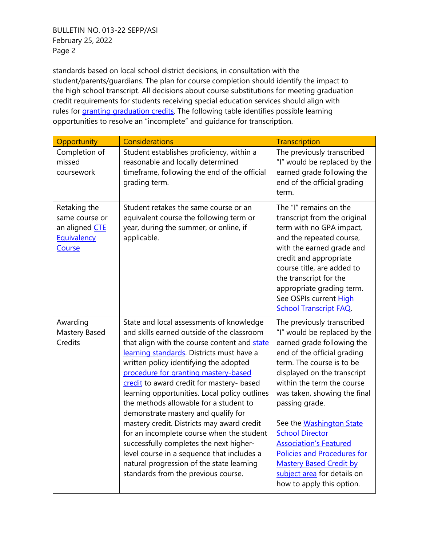BULLETIN NO. 013-22 SEPP/ASI February 25, 2022 Page 2

standards based on local school district decisions, in consultation with the student/parents/guardians. The plan for course completion should identify the impact to the high school transcript. All decisions about course substitutions for meeting graduation credit requirements for students receiving special education services should align with rules for [granting graduation credits.](https://apps.leg.wa.gov/WAC/default.aspx?cite=180-51-115) The following table identifies possible learning opportunities to resolve an "incomplete" and guidance for transcription.

| Opportunity                                                               | Considerations                                                                                                                                                                                                                                                                                                                                                                                                                                                                                                                                                                                                                                                                                                               | <b>Transcription</b>                                                                                                                                                                                                                                                                                                                                                                                                                                                                           |
|---------------------------------------------------------------------------|------------------------------------------------------------------------------------------------------------------------------------------------------------------------------------------------------------------------------------------------------------------------------------------------------------------------------------------------------------------------------------------------------------------------------------------------------------------------------------------------------------------------------------------------------------------------------------------------------------------------------------------------------------------------------------------------------------------------------|------------------------------------------------------------------------------------------------------------------------------------------------------------------------------------------------------------------------------------------------------------------------------------------------------------------------------------------------------------------------------------------------------------------------------------------------------------------------------------------------|
| Completion of<br>missed<br>coursework                                     | Student establishes proficiency, within a<br>reasonable and locally determined<br>timeframe, following the end of the official<br>grading term.                                                                                                                                                                                                                                                                                                                                                                                                                                                                                                                                                                              | The previously transcribed<br>"I" would be replaced by the<br>earned grade following the<br>end of the official grading<br>term.                                                                                                                                                                                                                                                                                                                                                               |
| Retaking the<br>same course or<br>an aligned CTE<br>Equivalency<br>Course | Student retakes the same course or an<br>equivalent course the following term or<br>year, during the summer, or online, if<br>applicable.                                                                                                                                                                                                                                                                                                                                                                                                                                                                                                                                                                                    | The "I" remains on the<br>transcript from the original<br>term with no GPA impact,<br>and the repeated course,<br>with the earned grade and<br>credit and appropriate<br>course title, are added to<br>the transcript for the<br>appropriate grading term.<br>See OSPIs current High<br><b>School Transcript FAQ.</b>                                                                                                                                                                          |
| Awarding<br>Mastery Based<br>Credits                                      | State and local assessments of knowledge<br>and skills earned outside of the classroom<br>that align with the course content and state<br>learning standards. Districts must have a<br>written policy identifying the adopted<br>procedure for granting mastery-based<br>credit to award credit for mastery- based<br>learning opportunities. Local policy outlines<br>the methods allowable for a student to<br>demonstrate mastery and qualify for<br>mastery credit. Districts may award credit<br>for an incomplete course when the student<br>successfully completes the next higher-<br>level course in a sequence that includes a<br>natural progression of the state learning<br>standards from the previous course. | The previously transcribed<br>"I" would be replaced by the<br>earned grade following the<br>end of the official grading<br>term. The course is to be<br>displayed on the transcript<br>within the term the course<br>was taken, showing the final<br>passing grade.<br>See the Washington State<br><b>School Director</b><br><b>Association's Featured</b><br><b>Policies and Procedures for</b><br><b>Mastery Based Credit by</b><br>subject area for details on<br>how to apply this option. |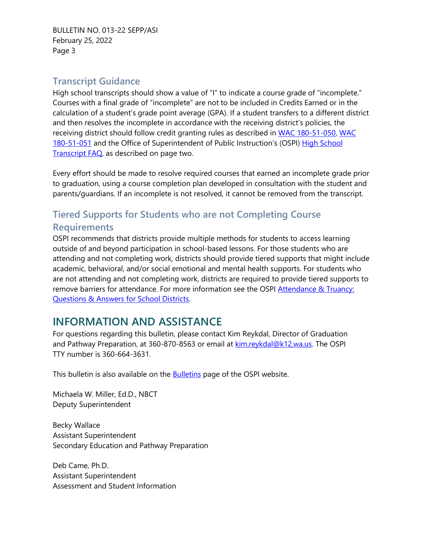BULLETIN NO. 013-22 SEPP/ASI February 25, 2022 Page 3

#### **Transcript Guidance**

High school transcripts should show a value of "I" to indicate a course grade of "incomplete." Courses with a final grade of "incomplete" are not to be included in Credits Earned or in the calculation of a student's grade point average (GPA). If a student transfers to a different district and then resolves the incomplete in accordance with the receiving district's policies, the receiving district should follow credit granting rules as described in [WAC 180-51-050,](https://apps.leg.wa.gov/wac/default.aspx?cite=180-51-050) WAC [180-51-051](https://apps.leg.wa.gov/wac/default.aspx?cite=180-51-051) and the Office of Superintendent of Public Instruction's (OSPI) [High School](https://www.k12.wa.us/sites/default/files/public/transcripts/pubdocs/High_School_Transcript_FAQs_2020-21.pdf)  [Transcript FAQ,](https://www.k12.wa.us/sites/default/files/public/transcripts/pubdocs/High_School_Transcript_FAQs_2020-21.pdf) as described on page two.

Every effort should be made to resolve required courses that earned an incomplete grade prior to graduation, using a course completion plan developed in consultation with the student and parents/guardians. If an incomplete is not resolved, it cannot be removed from the transcript.

### **Tiered Supports for Students who are not Completing Course Requirements**

OSPI recommends that districts provide multiple methods for students to access learning outside of and beyond participation in school-based lessons. For those students who are attending and not completing work, districts should provide tiered supports that might include academic, behavioral, and/or social emotional and mental health supports. For students who are not attending and not completing work, districts are required to provide tiered supports to remove barriers for attendance. For more information see the OSPI [Attendance](http://www.k12.wa.us/sites/default/files/public/communications/Attendance%20Rules%20FAQ_August%202020.pdf) & Truancy: Questions [& Answers for School](http://www.k12.wa.us/sites/default/files/public/communications/Attendance%20Rules%20FAQ_August%202020.pdf) Districts.

# **INFORMATION AND ASSISTANCE**

For questions regarding this bulletin, please contact Kim Reykdal, Director of Graduation and Pathway Preparation, at 360-870-8563 or email at [kim.reykdal@k12.wa.us. T](mailto:kim.reykdal@k12.wa.us)he OSPI TTY number is 360-664-3631.

This bulletin is also available on the **Bulletins** page of the OSPI website.

Michaela W. Miller, Ed.D., NBCT Deputy Superintendent

Becky Wallace Assistant Superintendent Secondary Education and Pathway Preparation

Deb Came, Ph.D. Assistant Superintendent Assessment and Student Information